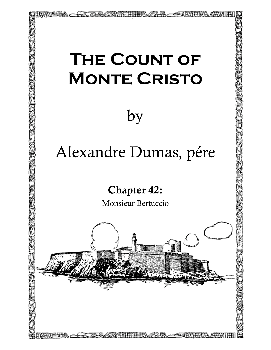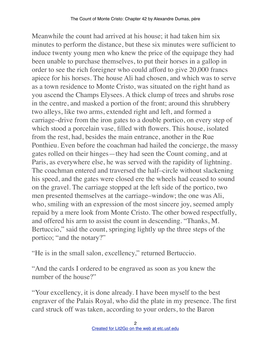Meanwhile the count had arrived at his house; it had taken him six minutes to perform the distance, but these six minutes were sufficient to induce twenty young men who knew the price of the equipage they had been unable to purchase themselves, to put their horses in a gallop in order to see the rich foreigner who could afford to give 20,000 francs apiece for his horses. The house Ali had chosen, and which was to serve as a town residence to Monte Cristo, was situated on the right hand as you ascend the Champs Elysees. A thick clump of trees and shrubs rose in the centre, and masked a portion of the front; around this shrubbery two alleys, like two arms, extended right and left, and formed a carriage–drive from the iron gates to a double portico, on every step of which stood a porcelain vase, filled with flowers. This house, isolated from the rest, had, besides the main entrance, another in the Rue Ponthieu. Even before the coachman had hailed the concierge, the massy gates rolled on their hinges—they had seen the Count coming, and at Paris, as everywhere else, he was served with the rapidity of lightning. The coachman entered and traversed the half–circle without slackening his speed, and the gates were closed ere the wheels had ceased to sound on the gravel. The carriage stopped at the left side of the portico, two men presented themselves at the carriage–window; the one was Ali, who, smiling with an expression of the most sincere joy, seemed amply repaid by a mere look from Monte Cristo. The other bowed respectfully, and offered his arm to assist the count in descending. "Thanks, M. Bertuccio," said the count, springing lightly up the three steps of the portico; "and the notary?"

"He is in the small salon, excellency," returned Bertuccio.

"And the cards I ordered to be engraved as soon as you knew the number of the house?"

"Your excellency, it is done already. I have been myself to the best engraver of the Palais Royal, who did the plate in my presence. The first card struck off was taken, according to your orders, to the Baron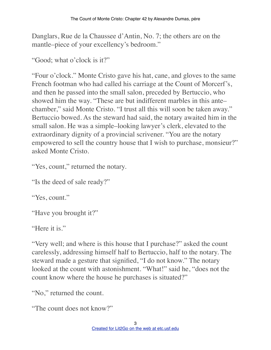Danglars, Rue de la Chaussee d'Antin, No. 7; the others are on the mantle–piece of your excellency's bedroom."

"Good; what o'clock is it?"

"Four o'clock." Monte Cristo gave his hat, cane, and gloves to the same French footman who had called his carriage at the Count of Morcerf's, and then he passed into the small salon, preceded by Bertuccio, who showed him the way. "These are but indifferent marbles in this ante– chamber," said Monte Cristo. "I trust all this will soon be taken away." Bertuccio bowed. As the steward had said, the notary awaited him in the small salon. He was a simple–looking lawyer's clerk, elevated to the extraordinary dignity of a provincial scrivener. "You are the notary empowered to sell the country house that I wish to purchase, monsieur?" asked Monte Cristo.

"Yes, count," returned the notary.

"Is the deed of sale ready?"

"Yes, count."

"Have you brought it?"

"Here it is."

"Very well; and where is this house that I purchase?" asked the count carelessly, addressing himself half to Bertuccio, half to the notary. The steward made a gesture that signified, "I do not know." The notary looked at the count with astonishment. "What!" said he, "does not the count know where the house he purchases is situated?"

"No," returned the count.

"The count does not know?"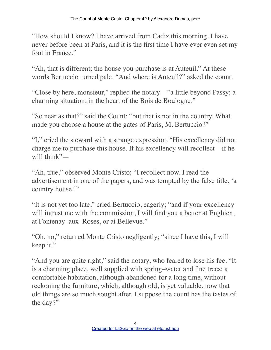"How should I know? I have arrived from Cadiz this morning. I have never before been at Paris, and it is the first time I have ever even set my foot in France."

"Ah, that is different; the house you purchase is at Auteuil." At these words Bertuccio turned pale. "And where is Auteuil?" asked the count.

"Close by here, monsieur," replied the notary—"a little beyond Passy; a charming situation, in the heart of the Bois de Boulogne."

"So near as that?" said the Count; "but that is not in the country. What made you choose a house at the gates of Paris, M. Bertuccio?"

"I," cried the steward with a strange expression. "His excellency did not charge me to purchase this house. If his excellency will recollect—if he will think"-

"Ah, true," observed Monte Cristo; "I recollect now. I read the advertisement in one of the papers, and was tempted by the false title, 'a country house."

"It is not yet too late," cried Bertuccio, eagerly; "and if your excellency will intrust me with the commission, I will find you a better at Enghien, at Fontenay–aux–Roses, or at Bellevue."

"Oh, no," returned Monte Cristo negligently; "since I have this, I will keep it."

"And you are quite right," said the notary, who feared to lose his fee. "It is a charming place, well supplied with spring–water and fine trees; a comfortable habitation, although abandoned for a long time, without reckoning the furniture, which, although old, is yet valuable, now that old things are so much sought after. I suppose the count has the tastes of the day?"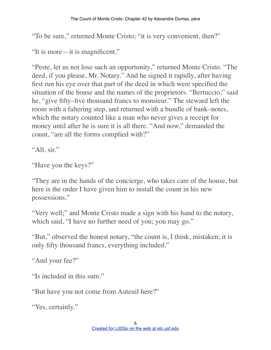"To be sure," returned Monte Cristo; "it is very convenient, then?"

"It is more—it is magnificent."

"Peste, let us not lose such an opportunity," returned Monte Cristo. "The deed, if you please, Mr. Notary." And he signed it rapidly, after having first run his eye over that part of the deed in which were specified the situation of the house and the names of the proprietors. "Bertuccio," said he, "give fifty–five thousand francs to monsieur." The steward left the room with a faltering step, and returned with a bundle of bank–notes, which the notary counted like a man who never gives a receipt for money until after he is sure it is all there. "And now," demanded the count, "are all the forms complied with?"

"All, sir."

```
"Have you the keys?"
```
"They are in the hands of the concierge, who takes care of the house, but here is the order I have given him to install the count in his new possessions."

"Very well;" and Monte Cristo made a sign with his hand to the notary, which said, "I have no further need of you; you may go."

"But," observed the honest notary, "the count is, I think, mistaken; it is only fifty thousand francs, everything included."

```
"And your fee?"
```
"Is included in this sum."

"But have you not come from Auteuil here?"

"Yes, certainly."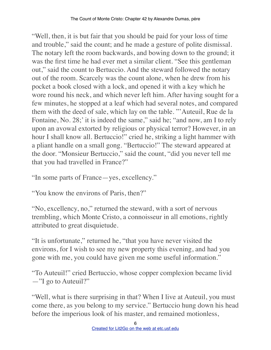"Well, then, it is but fair that you should be paid for your loss of time and trouble," said the count; and he made a gesture of polite dismissal. The notary left the room backwards, and bowing down to the ground; it was the first time he had ever met a similar client. "See this gentleman out," said the count to Bertuccio. And the steward followed the notary out of the room. Scarcely was the count alone, when he drew from his pocket a book closed with a lock, and opened it with a key which he wore round his neck, and which never left him. After having sought for a few minutes, he stopped at a leaf which had several notes, and compared them with the deed of sale, which lay on the table. "'Auteuil, Rue de la Fontaine, No. 28;' it is indeed the same," said he; "and now, am I to rely upon an avowal extorted by religious or physical terror? However, in an hour I shall know all. Bertuccio!" cried he, striking a light hammer with a pliant handle on a small gong. "Bertuccio!" The steward appeared at the door. "Monsieur Bertuccio," said the count, "did you never tell me that you had travelled in France?"

"In some parts of France—yes, excellency."

"You know the environs of Paris, then?"

"No, excellency, no," returned the steward, with a sort of nervous trembling, which Monte Cristo, a connoisseur in all emotions, rightly attributed to great disquietude.

"It is unfortunate," returned he, "that you have never visited the environs, for I wish to see my new property this evening, and had you gone with me, you could have given me some useful information."

"To Auteuil!" cried Bertuccio, whose copper complexion became livid —"I go to Auteuil?"

"Well, what is there surprising in that? When I live at Auteuil, you must come there, as you belong to my service." Bertuccio hung down his head before the imperious look of his master, and remained motionless,